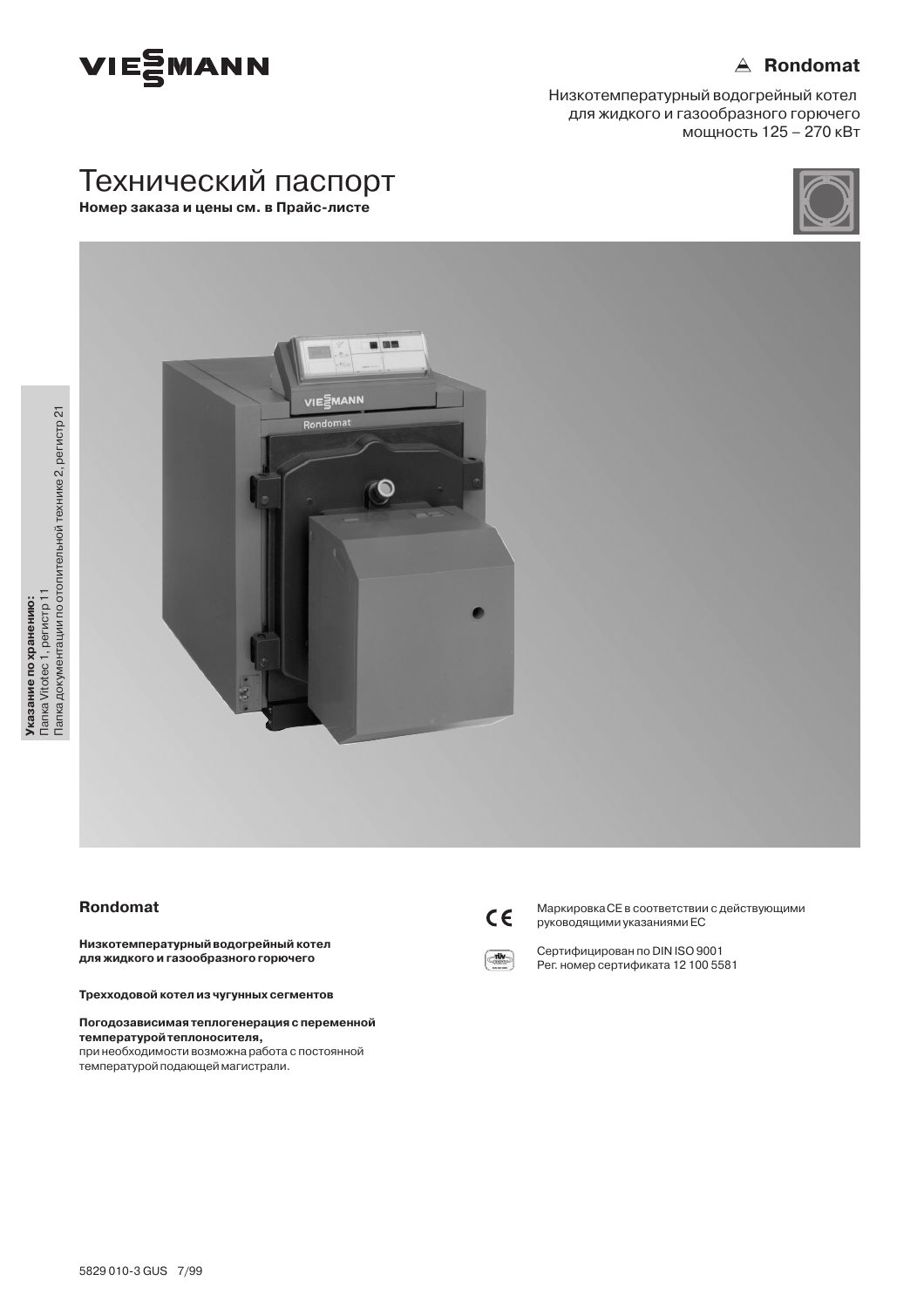

## $\triangle$  Rondomat

Низкотемпературный водогрейный котел для жидкого и газообразного горючего мощность 125 - 270 кВт





## Rondomat

Низкотемпературный водогрейный котел для жидкого и газообразного горючего

Трехходовой котел из чугунных сегментов

#### Погодозависимая теплогенерация с переменной температурой теплоносителя, при необходимости возможна работа с постоянной

температурой подающей магистрали.



Маркировка СЕ в соответствии с действующими руководящими указаниями ЕС



Сертифицирован по DIN ISO 9001 Рег. номер сертификата 12 100 5581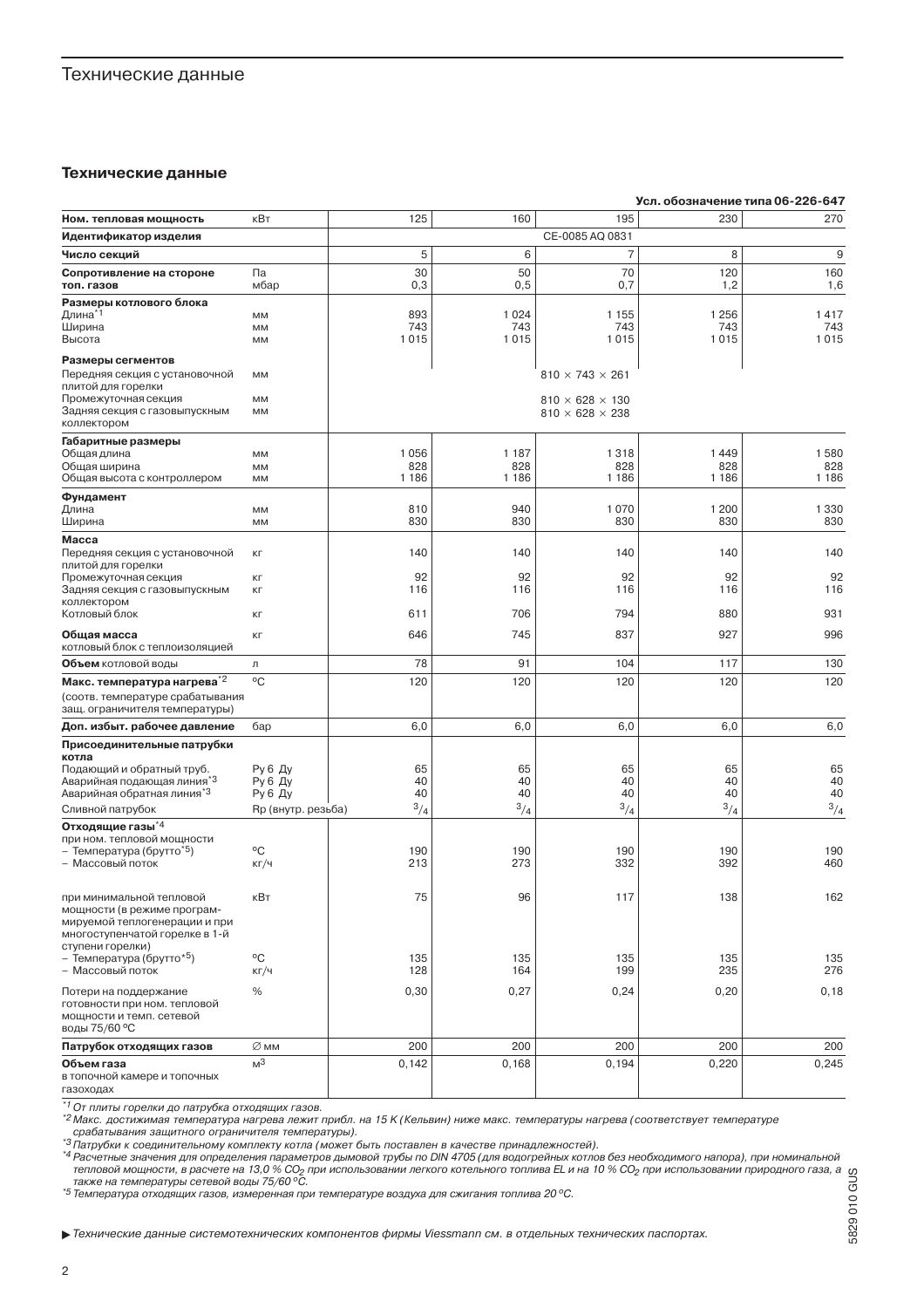### Технические данные

#### Технические данные

|                                                                             |                    |                |                |                             |                | Усл. обозначение типа 06-226-647 |
|-----------------------------------------------------------------------------|--------------------|----------------|----------------|-----------------------------|----------------|----------------------------------|
| Ном. тепловая мощность                                                      | кВт                | 125            | 160            | 195                         | 230            | 270                              |
| Идентификатор изделия                                                       |                    |                |                | CE-0085 AQ 0831             |                |                                  |
| Число секций                                                                |                    | 5              | 6              | $\overline{7}$              | 8              | 9                                |
| Сопротивление на стороне                                                    | Па                 | 30             | 50             | 70                          | 120            | 160                              |
| топ. газов                                                                  | мбар               | 0,3            | 0,5            | 0,7                         | 1,2            | 1,6                              |
| Размеры котлового блока                                                     |                    |                |                |                             |                |                                  |
| Длина <sup>*1</sup><br>Ширина                                               | MM<br>MM           | 893<br>743     | 1024<br>743    | 1 1 5 5<br>743              | 1 2 5 6<br>743 | 1417<br>743                      |
| Высота                                                                      | MМ                 | 1015           | 1015           | 1015                        | 1015           | 1015                             |
| Размеры сегментов                                                           |                    |                |                |                             |                |                                  |
| Передняя секция с установочной                                              | MM                 |                |                | $810 \times 743 \times 261$ |                |                                  |
| плитой для горелки                                                          |                    |                |                |                             |                |                                  |
| Промежуточная секция<br>Задняя секция с газовыпускным                       | MM<br>MM           |                |                | $810 \times 628 \times 130$ |                |                                  |
| коллектором                                                                 |                    |                |                | $810 \times 628 \times 238$ |                |                                  |
| Габаритные размеры                                                          |                    |                |                |                             |                |                                  |
| Общая длина                                                                 | MM                 | 1056           | 1 1 8 7        | 1318                        | 1449           | 1580                             |
| Общая ширина                                                                | MM                 | 828<br>1 1 8 6 | 828<br>1 1 8 6 | 828<br>1 1 8 6              | 828<br>1 1 8 6 | 828<br>1 1 8 6                   |
| Общая высота с контроллером                                                 | MM                 |                |                |                             |                |                                  |
| Фундамент<br>Длина                                                          | MM                 | 810            | 940            | 1070                        | 1 200          | 1 3 3 0                          |
| Ширина                                                                      | MM                 | 830            | 830            | 830                         | 830            | 830                              |
| Macca                                                                       |                    |                |                |                             |                |                                  |
| Передняя секция с установочной                                              | KГ                 | 140            | 140            | 140                         | 140            | 140                              |
| плитой для горелки<br>Промежуточная секция                                  | KГ                 | 92             | 92             | 92                          | 92             | 92                               |
| Задняя секция с газовыпускным                                               | KГ                 | 116            | 116            | 116                         | 116            | 116                              |
| коллектором                                                                 |                    |                |                |                             |                |                                  |
| Котловый блок                                                               | KГ                 | 611            | 706            | 794                         | 880            | 931                              |
| Общая масса                                                                 | KГ                 | 646            | 745            | 837                         | 927            | 996                              |
| котловый блок с теплоизоляцией                                              |                    | 78             |                |                             |                |                                  |
| Объем котловой воды                                                         | Л                  |                | 91             | 104                         | 117            | 130                              |
| Макс. температура нагрева <sup>*2</sup><br>(соотв. температуре срабатывания | $\rm ^{o}C$        | 120            | 120            | 120                         | 120            | 120                              |
| защ. ограничителя температуры)                                              |                    |                |                |                             |                |                                  |
| Доп. избыт. рабочее давление                                                | бар                | 6,0            | 6,0            | 6,0                         | 6,0            | 6,0                              |
| Присоединительные патрубки                                                  |                    |                |                |                             |                |                                  |
| котла                                                                       |                    |                |                |                             |                |                                  |
| Подающий и обратный труб.<br>Аварийная подающая линия <sup>*3</sup>         | Ру 6 Ду<br>Ру 6 Ду | 65<br>40       | 65<br>40       | 65<br>40                    | 65<br>40       | 65<br>40                         |
| Аварийная обратная линия <sup>*3</sup>                                      | Ру 6 Ду            | 40             | 40             | 40                          | 40             | 40                               |
| Сливной патрубок                                                            | Rp (внутр. резьба) | $^{3}/_{4}$    | $^{3}/_{4}$    | $^{3}/_{4}$                 | $^{3}/_{4}$    | $^{3}/_{4}$                      |
| Отходящие газы <sup>*4</sup>                                                |                    |                |                |                             |                |                                  |
| при ном. тепловой мощности                                                  |                    |                |                |                             |                |                                  |
| – Температура (брутто <sup>*5</sup> )<br>– Массовый поток                   | °C<br>КГ/Ч         | 190<br>213     | 190<br>273     | 190<br>332                  | 190<br>392     | 190<br>460                       |
|                                                                             |                    |                |                |                             |                |                                  |
| при минимальной тепловой                                                    | кВт                | 75             | 96             | 117                         | 138            | 162                              |
| мощности (в режиме програм-                                                 |                    |                |                |                             |                |                                  |
| мируемой теплогенерации и при                                               |                    |                |                |                             |                |                                  |
| многоступенчатой горелке в 1-й<br>ступени горелки)                          |                    |                |                |                             |                |                                  |
| – Температура (брутто* <sup>5</sup> )                                       | °C                 | 135            | 135            | 135                         | 135            | 135                              |
| - Массовый поток                                                            | КГ/Ч               | 128            | 164            | 199                         | 235            | 276                              |
| Потери на поддержание                                                       | %                  | 0,30           | 0,27           | 0,24                        | 0,20           | 0, 18                            |
| готовности при ном. тепловой<br>мощности и темп. сетевой                    |                    |                |                |                             |                |                                  |
| воды 75/60 °С                                                               |                    |                |                |                             |                |                                  |
| Патрубок отходящих газов                                                    | ∅мм                | 200            | 200            | 200                         | 200            | 200                              |
| Объем газа                                                                  | M <sup>3</sup>     | 0,142          | 0,168          | 0,194                       | 0,220          | 0,245                            |
| в топочной камере и топочных                                                |                    |                |                |                             |                |                                  |
| газоходах                                                                   |                    |                |                |                             |                |                                  |

\*1 От плиты горелки до патрубка отходящих газов.

" Илипы торолки до натруска отлодиции тассо.<br>"<sup>2</sup> Макс. достижимая температура нагрева лежит прибл. на 15 К (Кельвин) ниже макс. температуры нагрева (соответствует температуре

тика. достижимая температура нагрева лежит приол: на то к (кельвин) ниже макс. температуры нагрева (соответствует температуре<br>"З Патрубки к соединительному комплекту котла (может быть поставлен в качестве принадлежностей)

 $^{*5}$ Температура отходящих газов, измеренная при температуре воздуха для сжигания топлива 20 °С.

Feхнические данные системотехнических компонентов фирмы Viessmann см. в отдельных технических паспортах.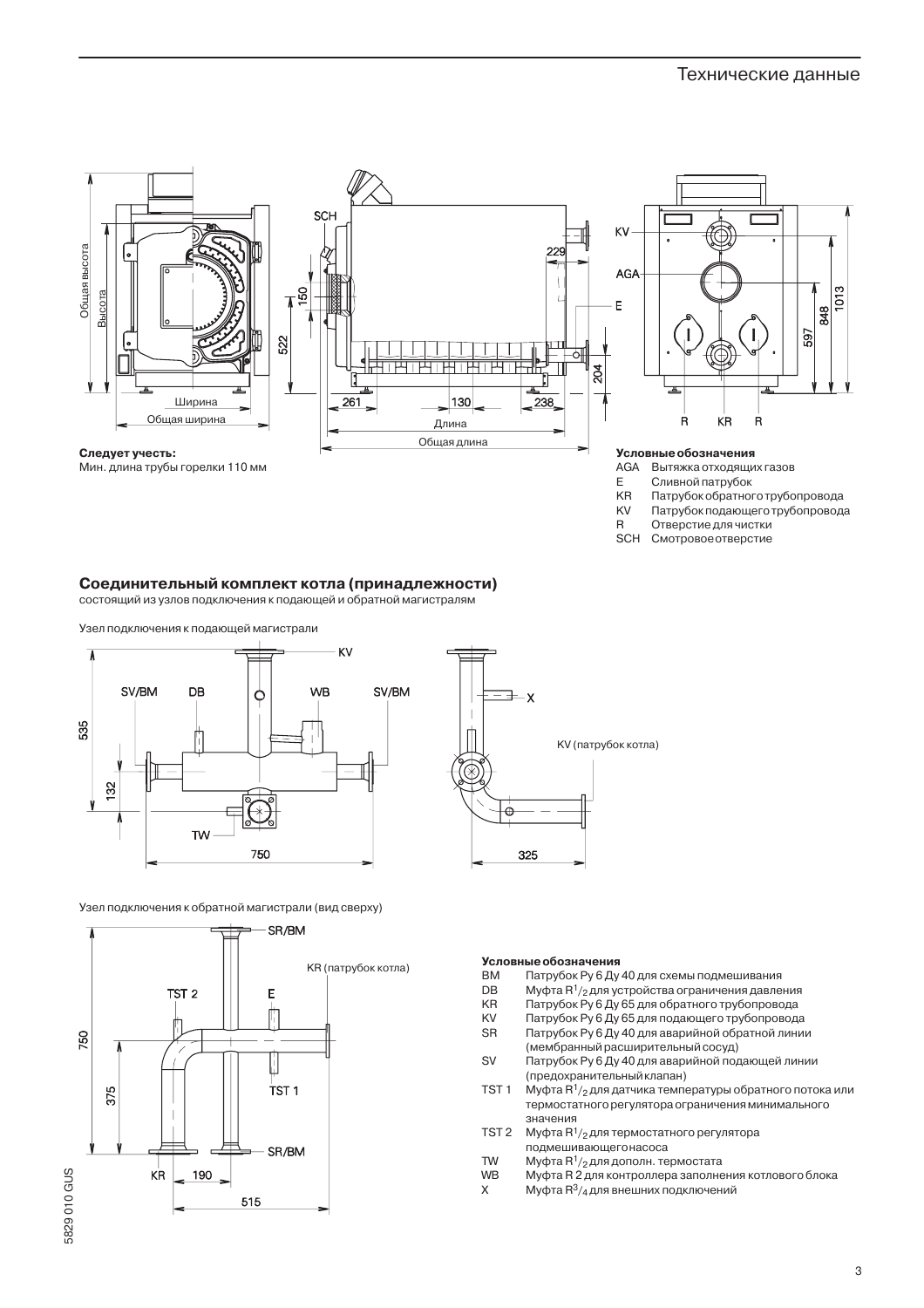

Следует учесть:





Условные обозначения

- **AGA** Вытяжка отходящих газов
- E Сливной патрубок
- KR Патрубок обратного трубопровода
- Патрубок подающего трубопровода KV
- $\overline{R}$ Отверстие для чистки
- **SCH** Смотровое отверстие

### Соединительный комплект котла (принадлежности)

состоящий из узлов подключения к подающей и обратной магистралям





Узел подключения к обратной магистрали (вид сверху)



#### **Условные обозначения**

- **BM** Патрубок Ру 6 Ду 40 для схемы подмешивания
- DB Муфта R<sup>1</sup>/2 для устройства ограничения давления
- Патрубок Ру 6 Ду 65 для обратного трубопровода **KR**
- Патрубок Ру 6 Ду 65 для подающего трубопровода KV
- **SR** Патрубок Ру 6 Ду 40 для аварийной обратной линии
- (мембранный расширительный сосуд) **SV**
- Патрубок Ру 6 Ду 40 для аварийной подающей линии (предохранительный клапан)
- TST<sub>1</sub> Муфта  $R^1/2$  для датчика температуры обратного потока или термостатного регулятора ограничения минимального значения
- TST<sub>2</sub> Муфта R<sup>1</sup>/2 для термостатного регулятора подмешивающегонасоса
- **TW** Муфта  $R^1/2$  для дополн. термостата
- WB Муфта R 2 для контроллера заполнения котлового блока
- $\sf X$ Муфта R<sup>3</sup>/4 для внешних подключений

 $\overline{3}$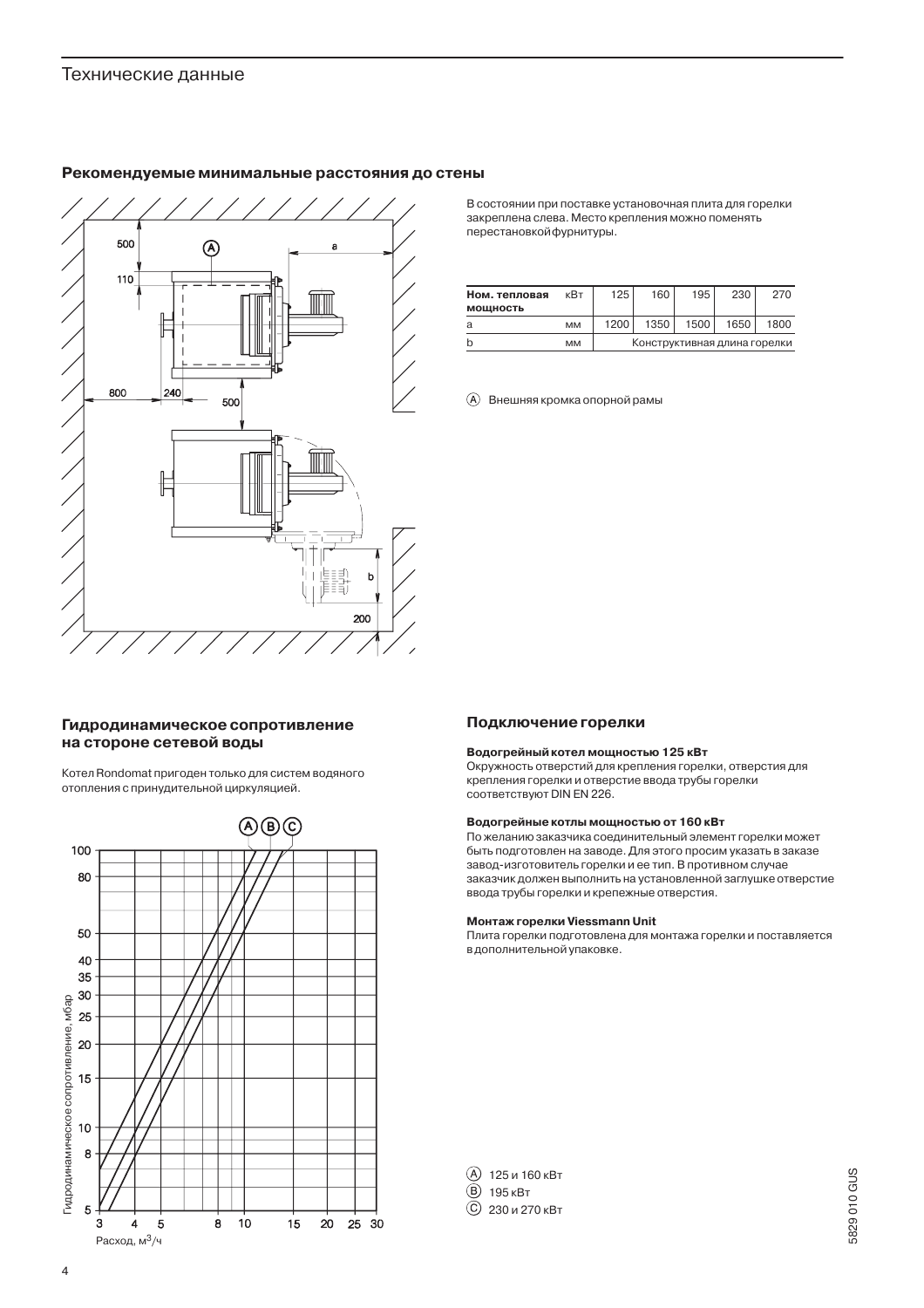

### Рекомендуемые минимальные расстояния до стены

В состоянии при поставке установочная плита для горелки закреплена слева. Место крепления можно поменять перестановкойфурнитуры.

| Ном. тепловая<br><b>МОШНОСТЬ</b> | кВт       | 125                          | 160  | 195  | 230  | 270  |
|----------------------------------|-----------|------------------------------|------|------|------|------|
| a                                | <b>MM</b> | 1200                         | 1350 | 1500 | 1650 | 1800 |
|                                  | MM        | Конструктивная длина горелки |      |      |      |      |

**(A)** Внешняя кромка опорной рамы

### Гидродинамическое сопротивление на стороне сетевой воды

Котел Rondomat пригоден только для систем водяного отопления с принудительной циркуляцией.



#### Подключение горелки

#### Водогрейный котел мощностью 125 кВт

Окружность отверстий для крепления горелки, отверстия для крепления горелки и отверстие ввода трубы горелки COOTBETCTBVIOT DIN EN 226.

#### Водогрейные котлы мощностью от 160 кВт

По желанию заказчика соединительный элемент горелки может быть подготовлен на заводе. Для этого просим указать в заказе завод-изготовитель горелки и ее тип. В противном случае заказчик должен выполнить на установленной заглушке отверстие ввода трубы горелки и крепежные отверстия.

#### Монтаж горелки Viessmann Unit

Плита горелки подготовлена для монтажа горелки и поставляется в дополнительной упаковке.

| $(A)$ 125 и 160 кВт |
|---------------------|
| <b>B</b> 195 KBT    |
| © 230 и 270 кВт     |

5829 010 GUS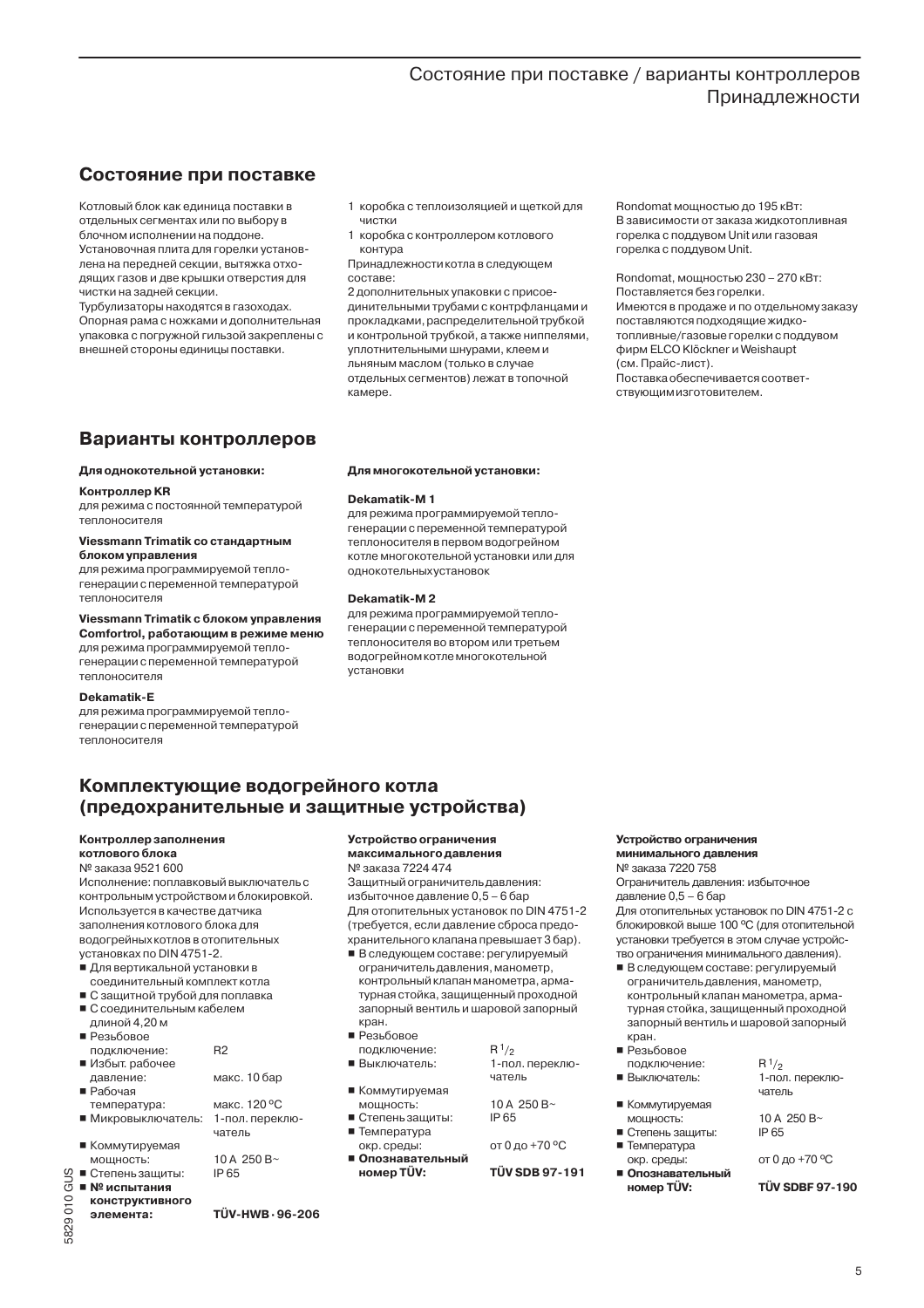## Состояние при поставке / варианты контроллеров Приналлежности

## Состояние при поставке

Котловый блок как единица поставки в отдельных сегментах или по выбору в блочном исполнении на поллоне. Установочная плита для горелки установлена на передней секции, вытяжка отхо-

дящих газов и две крышки отверстия для чистки на задней секции. Турбулизаторы находятся в газоходах.

Опорная рама с ножками и дополнительная упаковка с погружной гильзой закреплены с внешней стороны единицы поставки.

- 1 коробка с теплоизоляцией и шеткой для ЧИСТКИ
- 1 коробка с контроллером котлового контура

Принадлежности котла в следующем составе:

2 дополнительных упаковки с присоединительными трубами с контрфланцами и прокладками, распределительной трубкой и контрольной трубкой, а также ниппелями, уплотнительными шнурами, клеем и льняным маслом (только в случае отдельных сегментов) лежат в топочной камере.

Rondomat мощностью до 195 кВт: В зависимости от заказа жидкотопливная горелка с поддувом Unit или газовая горелка с поддувом Unit.

#### Rondomat, мощностью 230 - 270 кВт: Поставляется без горелки. Имеются в продаже и по отдельному заказу поставляются подходящие жидкотопливные/газовые горелки с поддувом фирм ELCO Klöckner и Weishaupt (см. Прайс-лист). Поставка обеспечивается соответ-**СТВУЮШИМ ИЗГОТОВИТЕЛЕМ.**

## Варианты контроллеров

#### Для однокотельной установки:

#### Контроллер KR

для режима с постоянной температурой теплоносителя

#### Viessmann Trimatik со стандартным блоком управления

для режима программируемой теплогенерации с переменной температурой теплоносителя

#### Viessmann Trimatik с блоком управления

Comfortrol, работающим в режиме меню для режима программируемой тепло-

генерации с переменной температурой теплоносителя

#### Dekamatik-E

для режима программируемой теплогенерации с переменной температурой теплоносителя

#### Для многокотельной установки:

#### Dekamatik-M1

для режима программируемой теплогенерации с переменной температурой теплоносителя в первом водогрейном котле многокотельной установки или для однокотельныхустановок

#### Dekamatik-M2

для режима программируемой теплогенерации с переменной температурой теплоносителя во втором или третьем водогрейном котлемногокотельной установки

## Комплектующие водогрейного котла (предохранительные и защитные устройства)

#### **Контроллер заполнения** котлового блока

№ заказа 9521 600

Исполнение: поплавковый выключатель с контрольным устройством и блокировкой. Используется в качестве датчика заполнения котлового блока для водогрейных котлов в отопительных установках по DIN 4751-2.

- Для вертикальной установки в
- соединительный комплект котла
- С защитной трубой для поплавка
- С соединительным кабелем длиной 4,20 м
- Резьбовое
- подключение:
- Избыт. рабочее
	- макс. 10 бар давление:
- Рабочая
- температура: ■ Микровыключатель: 1-пол. переклю-
- 
- чатель ■ Коммутируемая 10 A 250 B~ IP 65

 $R<sub>2</sub>$ 

- мощность: ■ Степень защиты:
- $\blacksquare$  Nº испытания
- конструктивного элемента:

#### Устройство ограничения максимального давления

## № заказа 7224 474

Защитный ограничитель давления: избыточное лавление 0.5 - 6 бар Для отопительных установок по DIN 4751-2 (требуется, если давление сброса предохранительного клапана превышает 3 бар).

■ В следующем составе: регулируемый ограничитель давления, манометр, контрольный клапан манометра, арматурная стойка, зашишенный проходной запорный вентиль и шаровой запорный кран.

10 A 250 B~

от 0 до +70 °С

**TÜV SDB 97-191** 

IP<sub>65</sub>

- Резьбовое
- подключение:
- $R^{1/2}$ ■ Выключатель: 1-пол. переключатель
- Коммутируемая
- мошность:  $C$ TARAHL 33UUATH'
- Температура
	- окр. среды:
- Опознавательный номер TÜV:

#### Устройство ограничения

#### минимального давления № заказа 7220 758

Ограничитель давления: избыточное лавление 0.5 - 6 бар

Для отопительных установок по DIN 4751-2 с блокировкой выше 100 °С (для отопительной установки требуется в этом случае устройство ограничения минимального давления).

- В следующем составе: регулируемый ограничитель давления, манометр, контрольный клапан манометра, арматурная стойка, защищенный проходной запорный вентиль и шаровой запорный кран.
- $\blacksquare$  Резьбовое
- подключение: ■ Выключатель:
- Коммутируемая
- МОШНОСТЬ: ■ Степень защиты:
- $\blacksquare$  Температура
- окр. среды: ■ Опознавательный номер TÜV:

# 10 A 250 B $\sim$

1-пол. переклю-

 $R^{1/2}$ 

чатель

IP 65

- от 0 до +70 °С
- **TÜV SDBF 97-190** 
	-

 $\overline{5}$ 

5829 010 GUS

TÜV-HWB - 96-206

макс. 120 °С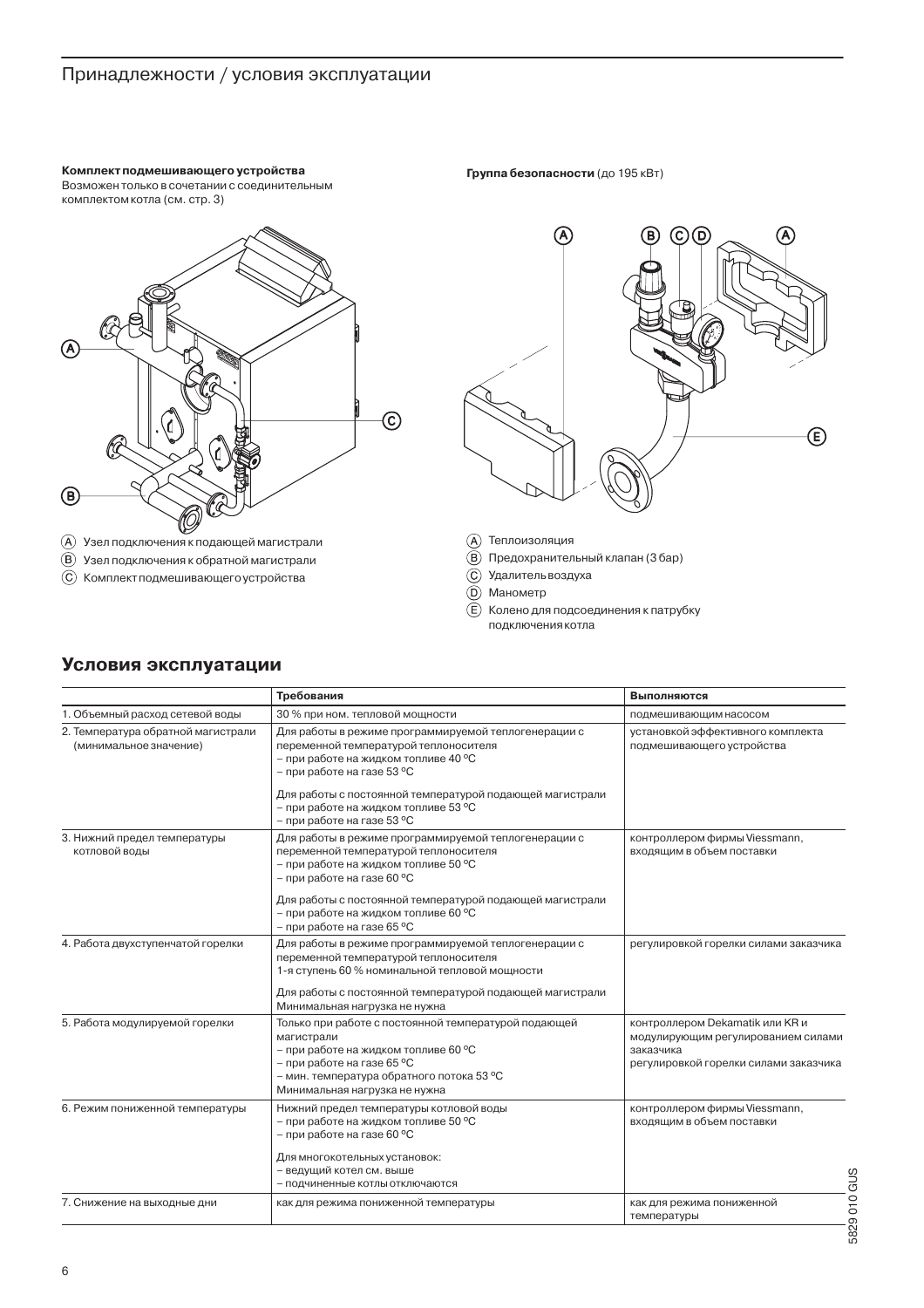## Принадлежности / условия эксплуатации

Комплект полмешивающего устройства Возможен только в сочетании с соединительным комплектом котла (см. стр. 3)



- $\left(\widehat{A}\right)$  Узел подключения к подающей магистрали
- (B) Узел подключения к обратной магистрали
- **© Комплект подмешивающего устройства**

Группа безопасности (до 195 кВт)



- (A) Теплоизоляция
- (B) Предохранительный клапан (3 бар)
- С Удалитель воздуха
- **(D)** Манометр
- 
- (E) Колено для подсоединения к патрубку подключения котла

#### Требования Выполняются 1. Объемный расход сетевой воды 30 % при ном. тепловой мощности подмешивающим насосом 2. Температура обратной магистрали Для работы в режиме программируемой теплогенерации с установкой эффективного комплекта переменной температурой теплоносителя (минимальное значение) подмешивающего устройства – при работе на жидком топливе 40 °С - при работе на газе 53 °С Для работы с постоянной температурой подающей магистрали - при работе на жидком топливе 53 °С – при работе на газе 53 °C 3. Нижний предел температуры Для работы в режиме программируемой теплогенерации с контроллером фирмы Viessmann, переменной температурой теплоносителя входящим в объем поставки котловой воды – при работе на жидком топливе 50 °C - при работе на газе 60 °С Для работы с постоянной температурой подающей магистрали - при работе на жидком топливе 60 °С – при работе на газе 65 °С 4. Работа двухступенчатой горелки Для работы в режиме программируемой теплогенерации с регулировкой горелки силами заказчика переменной температурой теплоносителя 1-я ступень 60 % номинальной тепловой мощности Для работы с постоянной температурой подающей магистрали Минимальная нагрузка не нужна 5. Работа модулируемой горелки Только при работе с постоянной температурой подающей контроллером Dekamatik или KR и магистрали модулирующим регулированием силами – при работе на жидком топливе 60 °С заказчика – при работе на газе 65 °С регулировкой горелки силами заказчика – мин. температура обратного потока 53 °C Минимальная нагрузка не нужна 6. Режим пониженной температуры Нижний предел температуры котловой воды контроллером фирмы Viessmann, входящим в объем поставки  $-$  при работе на жилком топливе 50 °C - при работе на газе 60 °С Для многокотельных установок: - ведущий котел см. выше – подчиненные котлы отключаются 7. Снижение на выходные дни как для режима пониженной температуры как для режима пониженной температуры

## Условия эксплуатации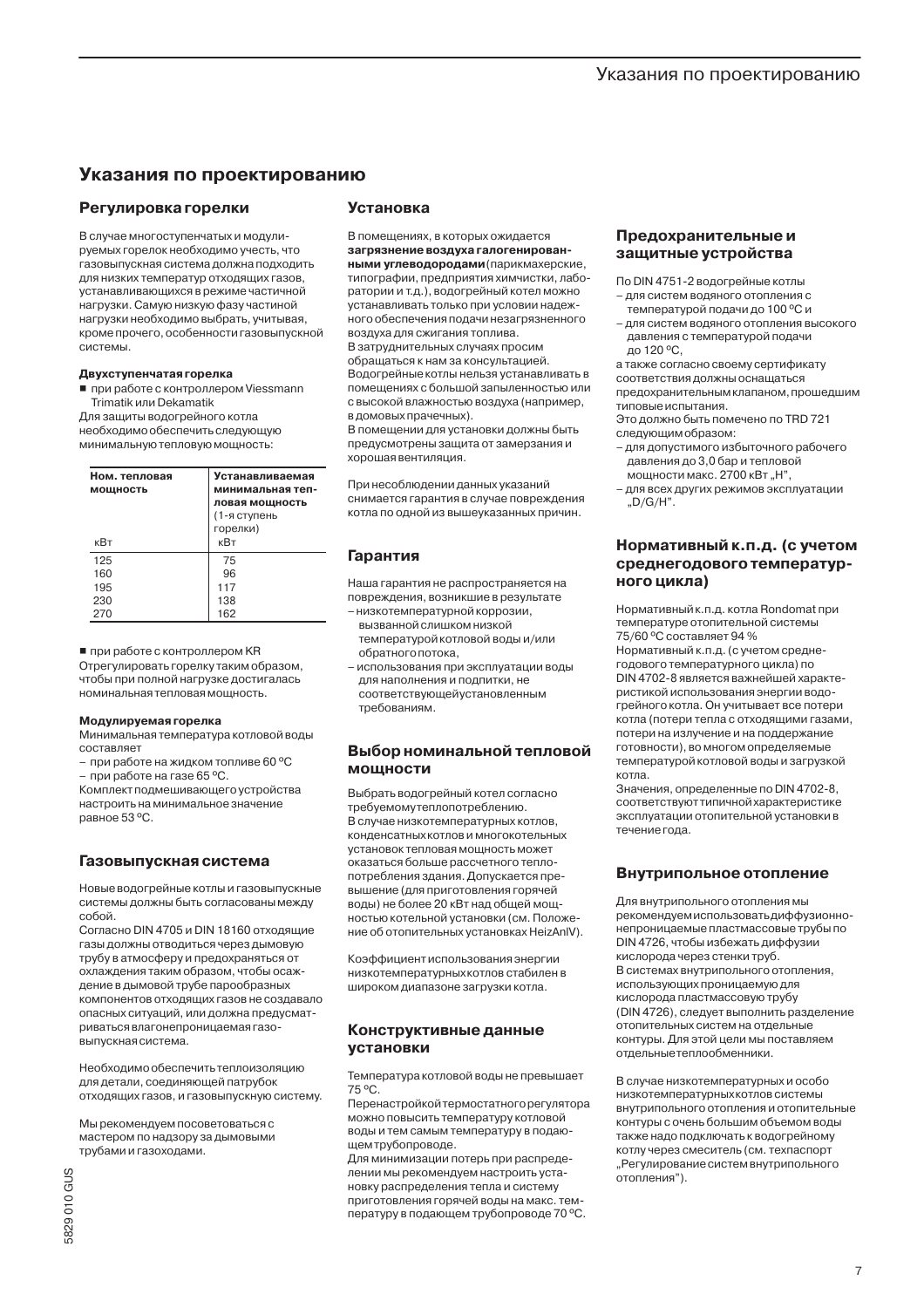## Указания по проектированию

## Регулировка горелки

В случае многоступенчатых и модулируемых горелок необходимо учесть, что газовыпускная система должна подходить для низких температур отходящих газов, устанавливающихся в режиме частичной нагрузки. Самую низкую фазу частиной нагрузки необходимо выбрать, учитывая. кроме прочего, особенности газовыпускной СИСТАМЫ

### Двухступенчатая горелка

При работе с контроллером Viessmann Trimatik или Dekamatik

Для защиты водогрейного котла необходимо обеспечить следующую минимальную тепловую мощность:

| Ном. тепловая<br>мощность | <b>Устанавливаемая</b><br>минимальная теп-<br>ловая мощность<br>(1-я ступень |  |  |
|---------------------------|------------------------------------------------------------------------------|--|--|
| кВт                       | горелки)<br>кВт                                                              |  |  |
| 125                       | 75                                                                           |  |  |
| 160                       | 96                                                                           |  |  |
| 195                       | 117                                                                          |  |  |
| 230                       | 138                                                                          |  |  |
| 270                       | 162                                                                          |  |  |

#### ■ при работе с контроллером KR

Отрегулировать горелку таким образом, чтобы при полной нагрузке достигалась номинальная тепловая мощность.

#### **Модулируемая горелка**

Минимальная температура котловой воды составляет

- при работе на жидком топливе 60 °С - при работе на газе 65 °C.

**Комплект подмешивающего устройства** настроить на минимальное значение равное 53 °C.

## Газовыпускная система

Новые водогрейные котлы и газовыпускные системы должны быть согласованы между copon

Согласно DIN 4705 и DIN 18160 отходящие газы должны отводиться через дымовую трубу в атмосферу и предохраняться от охлаждения таким образом, чтобы осаждение в дымовой трубе парообразных компонентов отходящих газов не создавало опасных ситуаций, или должна предусматриваться влагонепроницаемая газовыпускная система.

Необходимо обеспечить теплоизоляцию для детали, соединяющей патрубок отходящих газов, и газовыпускную систему.

Мы рекомендуем посоветоваться с мастером по надзору за дымовыми трубами и газоходами.

## **Установка**

В помещениях, в которых ожидается загрязнение воздуха галогенированными углеводородами (парикмахерские, типографии, предприятия химчистки, лаборатории и т.д.), водогрейный котел можно устанавливать только при условии надежного обеспечения подачи незагрязненного воздуха для сжигания топлива.

В затруднительных случаях просим обращаться к нам за консультацией. Водогрейные котлы нельзя устанавливать в помещениях с большой запыленностью или с высокой влажностью воздуха (например, в домовых прачечных).

В помещении для установки должны быть предусмотрены защита от замерзания и хорошая вентиляция.

При несоблюдении данных указаний снимается гарантия в случае повреждения котла по олной из вышеуказанных причин.

## Гарантия

Наша гарантия не распространяется на повреждения, возникшие в результате

- низкотемпературной коррозии. вызванной слишком низкой температурой котловой воды и/или обратного потока,
- использования при эксплуатации воды для наполнения и подпитки, не соответствующей установленным требованиям.

## Выбор номинальной тепловой **МОЩНОСТИ**

Выбрать водогрейный котел согласно требуемомутеплопотреблению. В случае низкотемпературных котлов, KOH DAHCATHLIY KOTOOR IA MHOFOKOTA DLHLIY УСТАНОВОК ТАПЛОВАЯ МОШНОСТЬ МОЖАТ оказаться больше рассчетного теплопотребления здания. Допускается превышение (для приготовления горячей воды) не более 20 кВт над общей мощностью котельной установки (см. Положение об отопительных установках HeizAnIV).

Коэффициент использования энергии низкотемпературных котлов стабилен в широком диапазоне загрузки котла.

## Конструктивные данные установки

Температура котловой воды не превышает 75 °C.

Перенастройкой термостатного регулятора можно повысить температуру котловой воды и тем самым температуру в подаюшем трубопроводе.

Для минимизации потерь при распределении мы рекомендуем настроить установку распределения тепла и систему приготовления горячей воды на макс. температуру в подающем трубопроводе 70 °С.

### Предохранительные и защитные устройства

По DIN 4751-2 водогрейные котлы

- для систем водяного отопления с .<br>температурой подачи до 100 °С и
- для систем водяного отопления высокого давления с температурой подачи до 120 °С,

а также согласно своему сертификату соответствия должны оснащаться предохранительным клапаном, прошедшим типовые испытания.

Это должно быть помечено по TRD 721 следующим образом:

- для допустимого избыточного рабочего давления до 3,0 бар и тепловой мошности макс. 2700 кВт "Н".
- для всех других режимов эксплуатации " $D/G/H$ ".

### Нормативный к.п.д. (с учетом среднегодового температурного цикла)

Нормативный к.п.д. котла Rondomat при температуре отопительной системы 75/60 °С составляет 94 %

Нормативный к.п.д. (с учетом среднегодового температурного цикла) по DIN 4702-8 является важнейшей характеристикой использования энергии водогрейного котла. Он учитывает все потери котла (потери тепла с отходящими газами, потери на излучение и на поддержание готовности), во многом определяемые температурой котловой воды и загрузкой котла.

Значения, определенные по DIN 4702-8, соответствуют типичной характеристике эксплуатации отопительной установки в ТАЧАНИА ГОЛЯ

## Внутрипольное отопление

Для внутрипольного отопления мы рекомендуем использовать диффузионнонепроницаемые пластмассовые трубы по DIN 4726, чтобы избежать диффузии кислорода через стенки труб. В системах внутрипольного отопления, использующих проницаемую для кислорода пластмассовую трубу (DIN 4726), следует выполнить разделение отопительных систем на отдельные контуры. Для этой цели мы поставляем отдельные теплообменники.

В случае низкотемпературных и особо низкотемпературных котлов системы внутрипольного отопления и отопительные контуры с очень большим объемом воды также надо подключать к водогрейному котлу через смеситель (см. техпаспорт "Регулирование систем внутрипольного отопления").